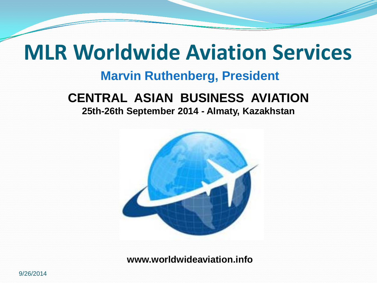## **MLR Worldwide Aviation Services**

#### **Marvin Ruthenberg, President**

### **CENTRAL ASIAN BUSINESS AVIATION**

**25th-26th September 2014 - Almaty, Kazakhstan**



**www.worldwideaviation.info**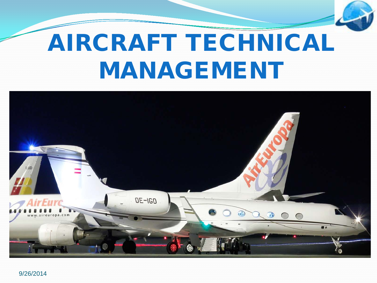# AIRCRAFT TECHNICAL MANAGEMENT

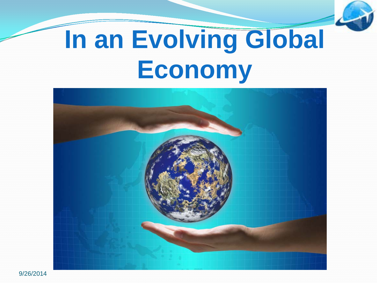# **In an Evolving Global Economy**

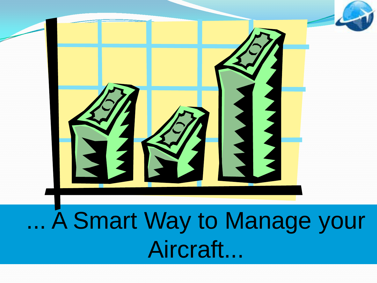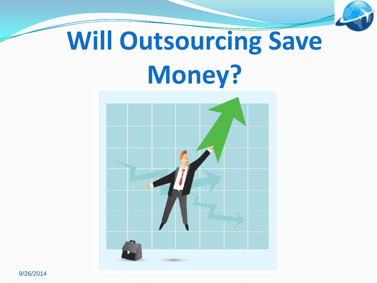

# **Will Outsourcing Save Money?**

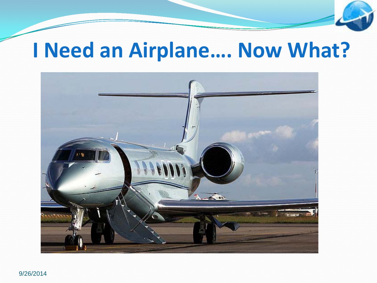### **I Need an Airplane…. Now What?**

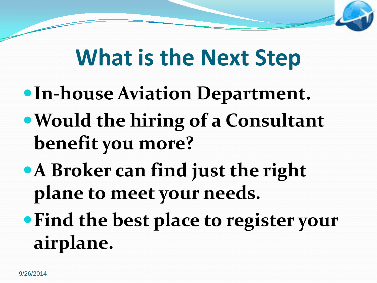## **What is the Next Step**

- **In-house Aviation Department.**
- **Would the hiring of a Consultant benefit you more?**
- **A Broker can find just the right plane to meet your needs.**
- **Find the best place to register your airplane.**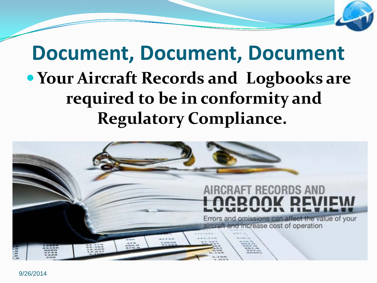### **Document, Document, Document Your Aircraft Records and Logbooks are required to be in conformity and Regulatory Compliance.**

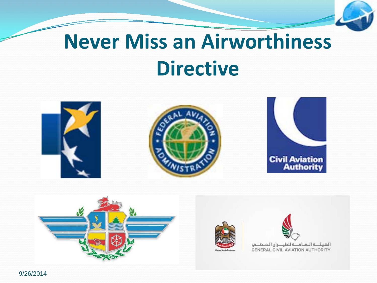## **Never Miss an Airworthiness Directive**

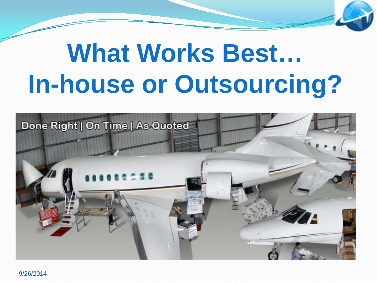# **What Works Best… In-house or Outsourcing?**

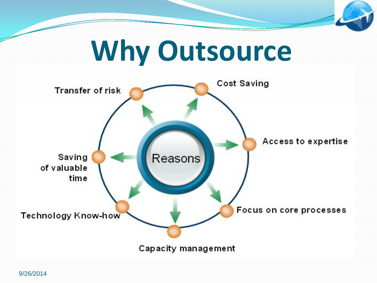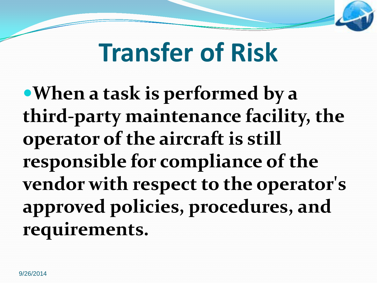# **Transfer of Risk**

**When a task is performed by a third-party maintenance facility, the operator of the aircraft is still responsible for compliance of the vendor with respect to the operator's approved policies, procedures, and requirements.**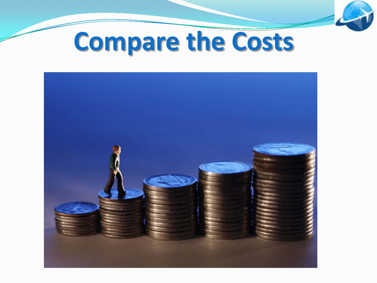

# **Compare the Costs**

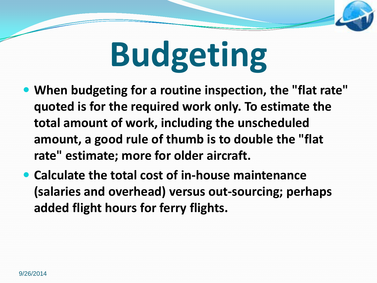# **Budgeting**

- **When budgeting for a routine inspection, the "flat rate" quoted is for the required work only. To estimate the total amount of work, including the unscheduled amount, a good rule of thumb is to double the "flat rate" estimate; more for older aircraft.**
- **Calculate the total cost of in-house maintenance (salaries and overhead) versus out-sourcing; perhaps added flight hours for ferry flights.**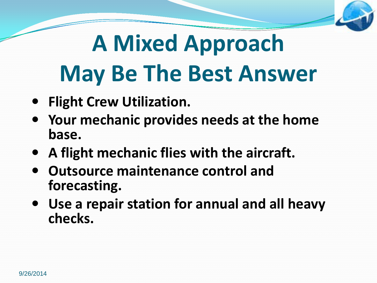# **A Mixed Approach May Be The Best Answer**

- **Flight Crew Utilization.**
- **Your mechanic provides needs at the home base.**
- **A flight mechanic flies with the aircraft.**
- **Outsource maintenance control and forecasting.**
- **Use a repair station for annual and all heavy checks.**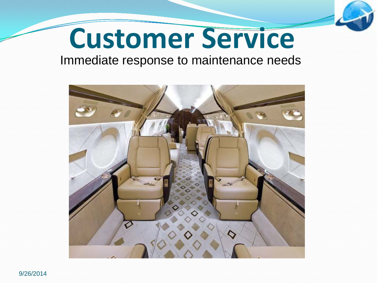

# **Customer Service**

#### Immediate response to maintenance needs

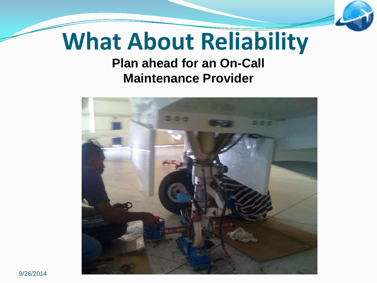## **What About Reliability**

### **Plan ahead for an On-Call Maintenance Provider**

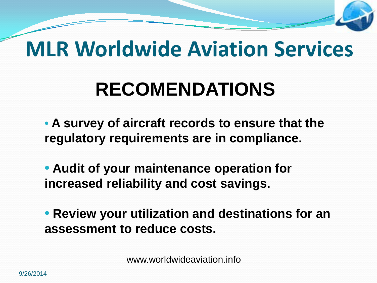## **MLR Worldwide Aviation Services**

## **RECOMENDATIONS**

• **A survey of aircraft records to ensure that the regulatory requirements are in compliance.** 

• **Audit of your maintenance operation for increased reliability and cost savings.** 

• **Review your utilization and destinations for an assessment to reduce costs.** 

www.worldwideaviation.info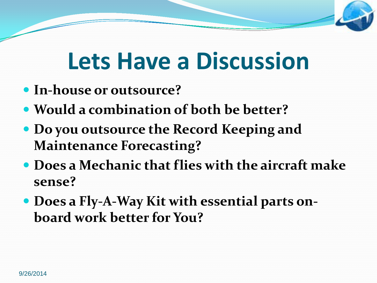## **Lets Have a Discussion**

- **In-house or outsource?**
- **Would a combination of both be better?**
- **Do you outsource the Record Keeping and Maintenance Forecasting?**
- **Does a Mechanic that flies with the aircraft make sense?**
- **Does a Fly-A-Way Kit with essential parts onboard work better for You?**